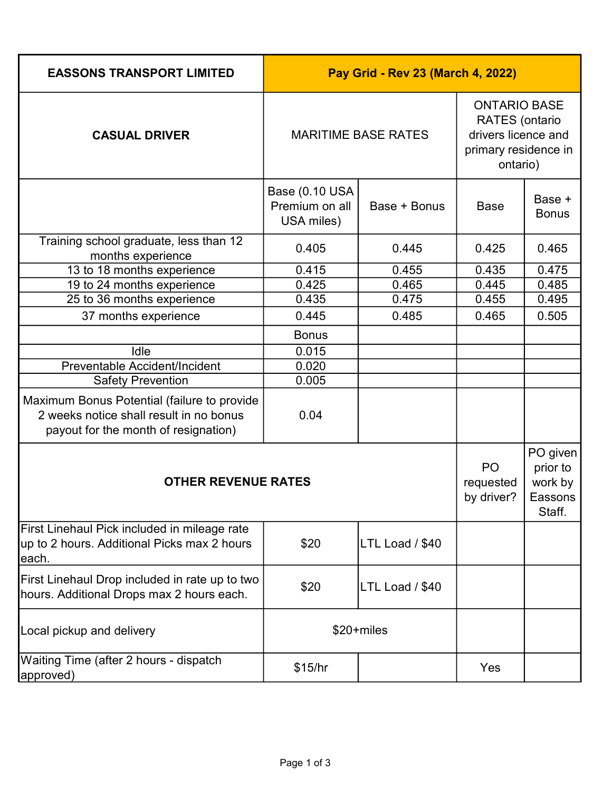| <b>EASSONS TRANSPORT LIMITED</b>                                                                                               | Pay Grid - Rev 23 (March 4, 2022)              |                                                                                                         |                               |                                                      |
|--------------------------------------------------------------------------------------------------------------------------------|------------------------------------------------|---------------------------------------------------------------------------------------------------------|-------------------------------|------------------------------------------------------|
| <b>CASUAL DRIVER</b>                                                                                                           | <b>MARITIME BASE RATES</b>                     | <b>ONTARIO BASE</b><br><b>RATES</b> (ontario<br>drivers licence and<br>primary residence in<br>ontario) |                               |                                                      |
|                                                                                                                                | Base (0.10 USA<br>Premium on all<br>USA miles) | Base + Bonus                                                                                            | <b>Base</b>                   | Base +<br><b>Bonus</b>                               |
| Training school graduate, less than 12<br>months experience                                                                    | 0.405                                          | 0.445                                                                                                   | 0.425                         | 0.465                                                |
| 13 to 18 months experience                                                                                                     | 0.415                                          | 0.455                                                                                                   | 0.435                         | 0.475                                                |
| 19 to 24 months experience                                                                                                     | 0.425                                          | 0.465                                                                                                   | 0.445                         | 0.485                                                |
| 25 to 36 months experience                                                                                                     | 0.435                                          | 0.475                                                                                                   | 0.455                         | 0.495                                                |
| 37 months experience                                                                                                           | 0.445                                          | 0.485                                                                                                   | 0.465                         | 0.505                                                |
|                                                                                                                                | <b>Bonus</b>                                   |                                                                                                         |                               |                                                      |
| Idle                                                                                                                           | 0.015                                          |                                                                                                         |                               |                                                      |
| Preventable Accident/Incident                                                                                                  | 0.020                                          |                                                                                                         |                               |                                                      |
| <b>Safety Prevention</b>                                                                                                       | 0.005                                          |                                                                                                         |                               |                                                      |
| Maximum Bonus Potential (failure to provide<br>2 weeks notice shall result in no bonus<br>payout for the month of resignation) | 0.04                                           |                                                                                                         |                               |                                                      |
| <b>OTHER REVENUE RATES</b>                                                                                                     |                                                |                                                                                                         | PO<br>requested<br>by driver? | PO given<br>prior to<br>work by<br>Eassons<br>Staff. |
| First Linehaul Pick included in mileage rate<br>up to 2 hours. Additional Picks max 2 hours<br>leach.                          | \$20                                           | LTL Load / \$40                                                                                         |                               |                                                      |
| First Linehaul Drop included in rate up to two<br>hours. Additional Drops max 2 hours each.                                    | \$20                                           | LTL Load / \$40                                                                                         |                               |                                                      |
| Local pickup and delivery                                                                                                      | $$20 + miles$                                  |                                                                                                         |                               |                                                      |
| Waiting Time (after 2 hours - dispatch<br>approved)                                                                            | \$15/hr                                        |                                                                                                         | Yes                           |                                                      |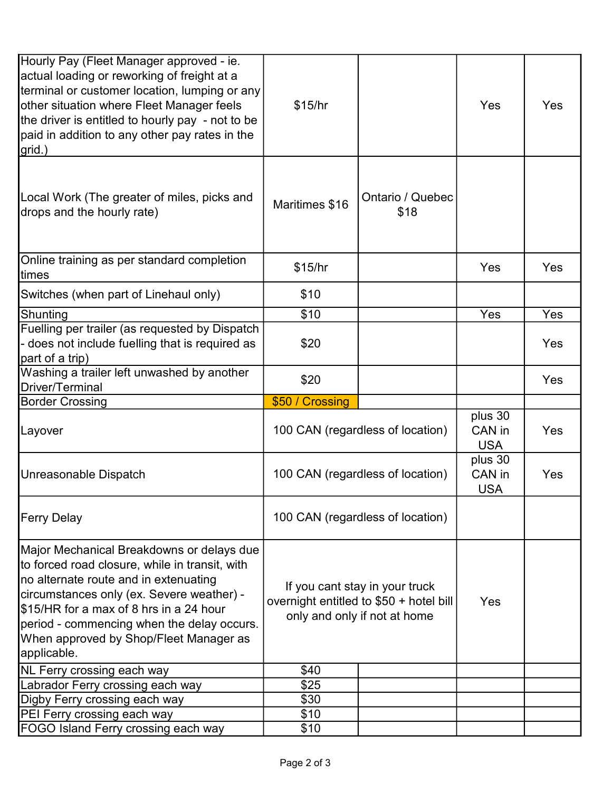| Hourly Pay (Fleet Manager approved - ie.<br>actual loading or reworking of freight at a<br>terminal or customer location, lumping or any<br>other situation where Fleet Manager feels<br>the driver is entitled to hourly pay - not to be<br>paid in addition to any other pay rates in the<br>grid.)                                                                              | \$15/hr         |                                                                                                           | Yes                             | <b>Yes</b> |
|------------------------------------------------------------------------------------------------------------------------------------------------------------------------------------------------------------------------------------------------------------------------------------------------------------------------------------------------------------------------------------|-----------------|-----------------------------------------------------------------------------------------------------------|---------------------------------|------------|
| Local Work (The greater of miles, picks and<br>drops and the hourly rate)                                                                                                                                                                                                                                                                                                          | Maritimes \$16  | Ontario / Quebec<br>\$18                                                                                  |                                 |            |
| Online training as per standard completion<br>times                                                                                                                                                                                                                                                                                                                                | \$15/hr         |                                                                                                           | Yes                             | <b>Yes</b> |
| Switches (when part of Linehaul only)                                                                                                                                                                                                                                                                                                                                              | \$10            |                                                                                                           |                                 |            |
| Shunting                                                                                                                                                                                                                                                                                                                                                                           | \$10            |                                                                                                           | Yes                             | Yes        |
| Fuelling per trailer (as requested by Dispatch<br>- does not include fuelling that is required as<br>part of a trip)                                                                                                                                                                                                                                                               | \$20            |                                                                                                           |                                 | Yes        |
| Washing a trailer left unwashed by another<br>Driver/Terminal                                                                                                                                                                                                                                                                                                                      | \$20            |                                                                                                           |                                 | Yes        |
|                                                                                                                                                                                                                                                                                                                                                                                    |                 |                                                                                                           |                                 |            |
| <b>Border Crossing</b>                                                                                                                                                                                                                                                                                                                                                             | \$50 / Crossing |                                                                                                           |                                 |            |
| Layover                                                                                                                                                                                                                                                                                                                                                                            |                 | 100 CAN (regardless of location)                                                                          | plus 30<br>CAN in<br><b>USA</b> | <b>Yes</b> |
|                                                                                                                                                                                                                                                                                                                                                                                    |                 | 100 CAN (regardless of location)                                                                          | plus 30<br>CAN in<br><b>USA</b> | Yes        |
|                                                                                                                                                                                                                                                                                                                                                                                    |                 | 100 CAN (regardless of location)                                                                          |                                 |            |
| Unreasonable Dispatch<br><b>Ferry Delay</b><br>Major Mechanical Breakdowns or delays due<br>to forced road closure, while in transit, with<br>no alternate route and in extenuating<br>circumstances only (ex. Severe weather) -<br>\$15/HR for a max of 8 hrs in a 24 hour<br>period - commencing when the delay occurs.<br>When approved by Shop/Fleet Manager as<br>applicable. |                 | If you cant stay in your truck<br>overnight entitled to \$50 + hotel bill<br>only and only if not at home | Yes                             |            |
| NL Ferry crossing each way                                                                                                                                                                                                                                                                                                                                                         | \$40            |                                                                                                           |                                 |            |
| Labrador Ferry crossing each way                                                                                                                                                                                                                                                                                                                                                   | \$25            |                                                                                                           |                                 |            |
| Digby Ferry crossing each way                                                                                                                                                                                                                                                                                                                                                      | \$30            |                                                                                                           |                                 |            |
| PEI Ferry crossing each way                                                                                                                                                                                                                                                                                                                                                        | \$10            |                                                                                                           |                                 |            |